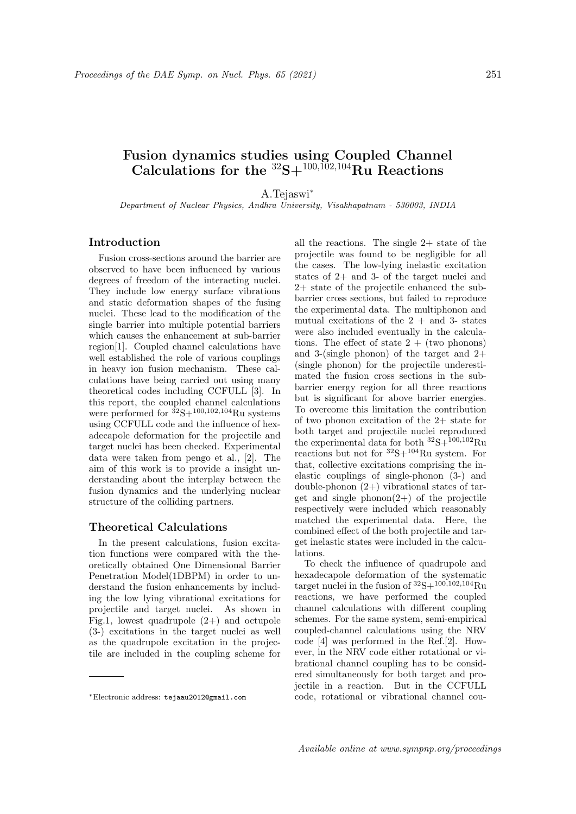## Fusion dynamics studies using Coupled Channel Calculations for the  ${}^{32}S+{}^{100,\overline{10}2,104}R_{U}$  Reactions

A.Tejaswi<sup>∗</sup>

Department of Nuclear Physics, Andhra University, Visakhapatnam - 530003, INDIA

## Introduction

Fusion cross-sections around the barrier are observed to have been influenced by various degrees of freedom of the interacting nuclei. They include low energy surface vibrations and static deformation shapes of the fusing nuclei. These lead to the modification of the single barrier into multiple potential barriers which causes the enhancement at sub-barrier region[1]. Coupled channel calculations have well established the role of various couplings in heavy ion fusion mechanism. These calculations have being carried out using many theoretical codes including CCFULL [3]. In this report, the coupled channel calculations were performed for  ${}^{32}S+{}^{100,102,104}Ru$  systems using CCFULL code and the influence of hexadecapole deformation for the projectile and target nuclei has been checked. Experimental data were taken from pengo et al., [2]. The aim of this work is to provide a insight understanding about the interplay between the fusion dynamics and the underlying nuclear structure of the colliding partners.

## Theoretical Calculations

In the present calculations, fusion excitation functions were compared with the theoretically obtained One Dimensional Barrier Penetration Model(1DBPM) in order to understand the fusion enhancements by including the low lying vibrational excitations for projectile and target nuclei. As shown in Fig.1, lowest quadrupole  $(2+)$  and octupole (3-) excitations in the target nuclei as well as the quadrupole excitation in the projectile are included in the coupling scheme for

all the reactions. The single 2+ state of the projectile was found to be negligible for all the cases. The low-lying inelastic excitation states of 2+ and 3- of the target nuclei and 2+ state of the projectile enhanced the subbarrier cross sections, but failed to reproduce the experimental data. The multiphonon and mutual excitations of the  $2 +$  and 3- states were also included eventually in the calculations. The effect of state  $2 +$  (two phonons) and 3-(single phonon) of the target and  $2+$ (single phonon) for the projectile underestimated the fusion cross sections in the subbarrier energy region for all three reactions but is significant for above barrier energies. To overcome this limitation the contribution of two phonon excitation of the 2+ state for both target and projectile nuclei reproduced the experimental data for both  $^{32}{\rm S}+^{100,102}{\rm Ru}$ reactions but not for  ${}^{32}S+{}^{104}Ru$  system. For that, collective excitations comprising the inelastic couplings of single-phonon (3-) and double-phonon (2+) vibrational states of target and single phonon $(2+)$  of the projectile respectively were included which reasonably matched the experimental data. Here, the combined effect of the both projectile and target inelastic states were included in the calculations.

To check the influence of quadrupole and hexadecapole deformation of the systematic target nuclei in the fusion of  ${}^{32}S+{}^{100,102,104}Ru$ reactions, we have performed the coupled channel calculations with different coupling schemes. For the same system, semi-empirical coupled-channel calculations using the NRV code [4] was performed in the Ref.[2]. However, in the NRV code either rotational or vibrational channel coupling has to be considered simultaneously for both target and projectile in a reaction. But in the CCFULL code, rotational or vibrational channel cou-

<sup>∗</sup>Electronic address: tejaau2012@gmail.com